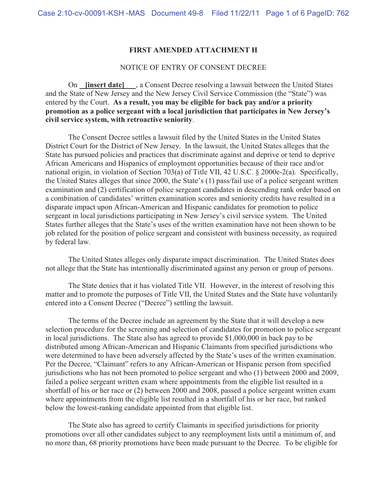### **FIRST AMENDED ATTACHMENT H**

#### NOTICE OF ENTRY OF CONSENT DECREE

 On **[insert date]** , a Consent Decree resolving a lawsuit between the United States and the State of New Jersey and the New Jersey Civil Service Commission (the "State") was entered by the Court. **As a result, you may be eligible for back pay and/or a priority promotion as a police sergeant with a local jurisdiction that participates in New Jersey's civil service system, with retroactive seniority**.

 The Consent Decree settles a lawsuit filed by the United States in the United States District Court for the District of New Jersey. In the lawsuit, the United States alleges that the State has pursued policies and practices that discriminate against and deprive or tend to deprive African Americans and Hispanics of employment opportunities because of their race and/or national origin, in violation of Section 703(a) of Title VII, 42 U.S.C. § 2000e-2(a). Specifically, the United States alleges that since 2000, the State's (1) pass/fail use of a police sergeant written examination and (2) certification of police sergeant candidates in descending rank order based on a combination of candidates' written examination scores and seniority credits have resulted in a disparate impact upon African-American and Hispanic candidates for promotion to police sergeant in local jurisdictions participating in New Jersey's civil service system. The United States further alleges that the State's uses of the written examination have not been shown to be job related for the position of police sergeant and consistent with business necessity, as required by federal law.

 The United States alleges only disparate impact discrimination. The United States does not allege that the State has intentionally discriminated against any person or group of persons.

 The State denies that it has violated Title VII. However, in the interest of resolving this matter and to promote the purposes of Title VII, the United States and the State have voluntarily entered into a Consent Decree ("Decree") settling the lawsuit.

 The terms of the Decree include an agreement by the State that it will develop a new selection procedure for the screening and selection of candidates for promotion to police sergeant in local jurisdictions. The State also has agreed to provide \$1,000,000 in back pay to be distributed among African-American and Hispanic Claimants from specified jurisdictions who were determined to have been adversely affected by the State's uses of the written examination. Per the Decree, "Claimant" refers to any African-American or Hispanic person from specified jurisdictions who has not been promoted to police sergeant and who (1) between 2000 and 2009, failed a police sergeant written exam where appointments from the eligible list resulted in a shortfall of his or her race or (2) between 2000 and 2008, passed a police sergeant written exam where appointments from the eligible list resulted in a shortfall of his or her race, but ranked below the lowest-ranking candidate appointed from that eligible list.

The State also has agreed to certify Claimants in specified jurisdictions for priority promotions over all other candidates subject to any reemployment lists until a minimum of, and no more than, 68 priority promotions have been made pursuant to the Decree. To be eligible for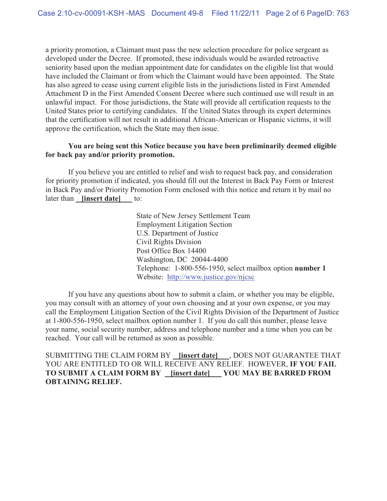a priority promotion, a Claimant must pass the new selection procedure for police sergeant as developed under the Decree. If promoted, these individuals would be awarded retroactive seniority based upon the median appointment date for candidates on the eligible list that would have included the Claimant or from which the Claimant would have been appointed. The State has also agreed to cease using current eligible lists in the jurisdictions listed in First Amended Attachment D in the First Amended Consent Decree where such continued use will result in an unlawful impact. For those jurisdictions, the State will provide all certification requests to the United States prior to certifying candidates. If the United States through its expert determines that the certification will not result in additional African-American or Hispanic victims, it will approve the certification, which the State may then issue.

## **You are being sent this Notice because you have been preliminarily deemed eligible for back pay and/or priority promotion.**

 If you believe you are entitled to relief and wish to request back pay, and consideration for priority promotion if indicated, you should fill out the Interest in Back Pay Form or Interest in Back Pay and/or Priority Promotion Form enclosed with this notice and return it by mail no later than **[insert date]** to:

> State of New Jersey Settlement Team Employment Litigation Section U.S. Department of Justice Civil Rights Division Post Office Box 14400 Washington, DC 20044-4400 Telephone: 1-800-556-1950, select mailbox option **number 1**  Website: http://www.justice.gov/njcsc

 If you have any questions about how to submit a claim, or whether you may be eligible, you may consult with an attorney of your own choosing and at your own expense, or you may call the Employment Litigation Section of the Civil Rights Division of the Department of Justice at 1-800-556-1950, select mailbox option number 1. If you do call this number, please leave your name, social security number, address and telephone number and a time when you can be reached. Your call will be returned as soon as possible.

SUBMITTING THE CLAIM FORM BY **[insert date]** , DOES NOT GUARANTEE THAT YOU ARE ENTITLED TO OR WILL RECEIVE ANY RELIEF. HOWEVER, **IF YOU FAIL TO SUBMIT A CLAIM FORM BY [insert date] YOU MAY BE BARRED FROM OBTAINING RELIEF.**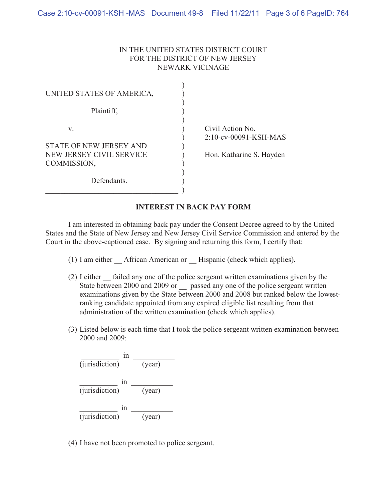### IN THE UNITED STATES DISTRICT COURT FOR THE DISTRICT OF NEW JERSEY NEWARK VICINAGE

| UNITED STATES OF AMERICA,               |                                              |
|-----------------------------------------|----------------------------------------------|
| Plaintiff,                              |                                              |
| V.<br>STATE OF NEW JERSEY AND           | Civil Action No.<br>$2:10$ -cv-00091-KSH-MAS |
| NEW JERSEY CIVIL SERVICE<br>COMMISSION, | Hon. Katharine S. Hayden                     |
| Defendants.                             |                                              |

## **INTEREST IN BACK PAY FORM**

 I am interested in obtaining back pay under the Consent Decree agreed to by the United States and the State of New Jersey and New Jersey Civil Service Commission and entered by the Court in the above-captioned case. By signing and returning this form, I certify that:

- (1) I am either African American or Hispanic (check which applies).
- (2) I either \_\_ failed any one of the police sergeant written examinations given by the State between 2000 and 2009 or passed any one of the police sergeant written examinations given by the State between 2000 and 2008 but ranked below the lowestranking candidate appointed from any expired eligible list resulting from that administration of the written examination (check which applies).
- (3) Listed below is each time that I took the police sergeant written examination between 2000 and 2009:



(4) I have not been promoted to police sergeant.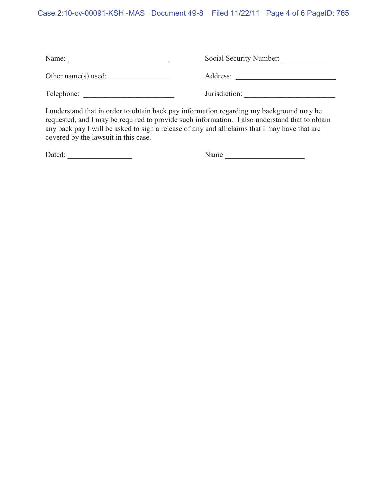# Case 2:10-cv-00091-KSH -MAS Document 49-8 Filed 11/22/11 Page 4 of 6 PageID: 765

| Name:               | Social Security Number: |
|---------------------|-------------------------|
| Other name(s) used: | Address:                |
| Telephone:          | Jurisdiction:           |

I understand that in order to obtain back pay information regarding my background may be requested, and I may be required to provide such information. I also understand that to obtain any back pay I will be asked to sign a release of any and all claims that I may have that are covered by the lawsuit in this case.

| Dated: | $\sqrt{ame}$ |
|--------|--------------|
|        |              |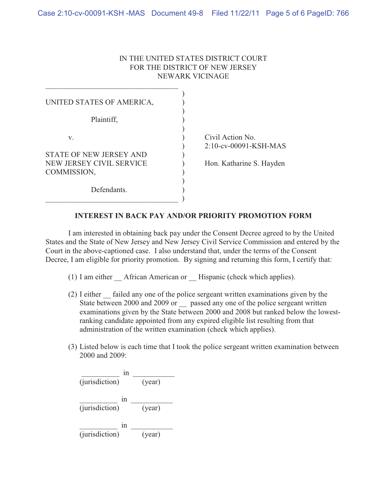### IN THE UNITED STATES DISTRICT COURT FOR THE DISTRICT OF NEW JERSEY NEWARK VICINAGE

| UNITED STATES OF AMERICA,<br>Plaintiff,                                         |                                                                          |
|---------------------------------------------------------------------------------|--------------------------------------------------------------------------|
| V.<br><b>STATE OF NEW JERSEY AND</b><br>NEW JERSEY CIVIL SERVICE<br>COMMISSION, | Civil Action No.<br>$2:10$ -cv-00091-KSH-MAS<br>Hon. Katharine S. Hayden |
| Defendants.                                                                     |                                                                          |

## **INTEREST IN BACK PAY AND/OR PRIORITY PROMOTION FORM**

I am interested in obtaining back pay under the Consent Decree agreed to by the United States and the State of New Jersey and New Jersey Civil Service Commission and entered by the Court in the above-captioned case. I also understand that, under the terms of the Consent Decree, I am eligible for priority promotion. By signing and returning this form, I certify that:

- (1) I am either African American or Hispanic (check which applies).
- (2) I either \_\_ failed any one of the police sergeant written examinations given by the State between 2000 and 2009 or \_\_ passed any one of the police sergeant written examinations given by the State between 2000 and 2008 but ranked below the lowestranking candidate appointed from any expired eligible list resulting from that administration of the written examination (check which applies).
- (3) Listed below is each time that I took the police sergeant written examination between 2000 and 2009:

| 1n<br>(jurisdiction) | (year) |
|----------------------|--------|
| 1n<br>(jurisdiction) | (year) |
| 1n<br>(jurisdiction) | (year) |